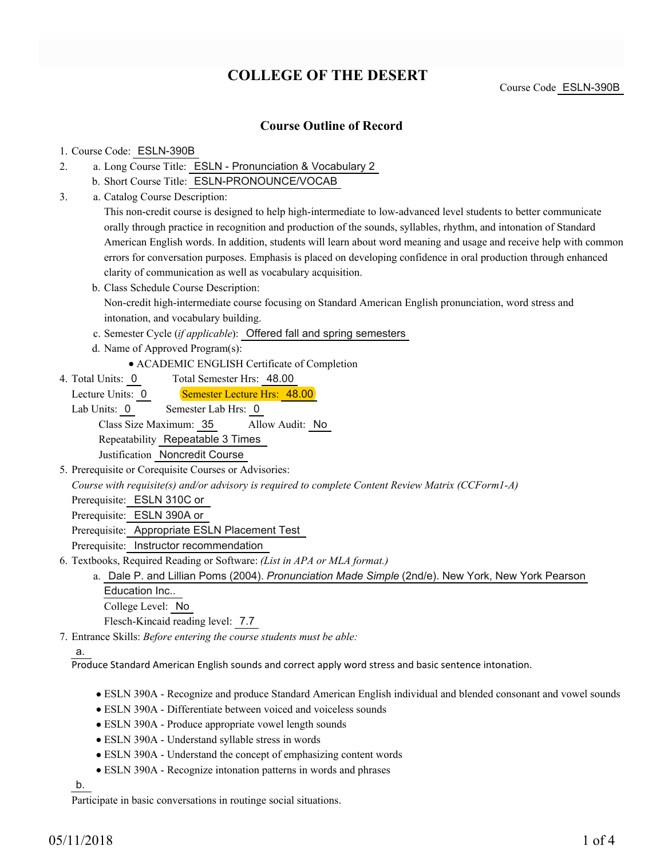# **COLLEGE OF THE DESERT**

Course Code ESLN-390B

#### **Course Outline of Record**

#### 1. Course Code: ESLN-390B

- a. Long Course Title: ESLN Pronunciation & Vocabulary 2 2.
	- b. Short Course Title: ESLN-PRONOUNCE/VOCAB
- Catalog Course Description: a. 3.

This non-credit course is designed to help high-intermediate to low-advanced level students to better communicate orally through practice in recognition and production of the sounds, syllables, rhythm, and intonation of Standard American English words. In addition, students will learn about word meaning and usage and receive help with common errors for conversation purposes. Emphasis is placed on developing confidence in oral production through enhanced clarity of communication as well as vocabulary acquisition.

- b. Class Schedule Course Description: Non-credit high-intermediate course focusing on Standard American English pronunciation, word stress and intonation, and vocabulary building.
- c. Semester Cycle (*if applicable*): Offered fall and spring semesters
- d. Name of Approved Program(s):
	- ACADEMIC ENGLISH Certificate of Completion
- Total Semester Hrs: 48.00 4. Total Units: 0
	- Lecture Units: 0 Semester Lecture Hrs: 48.00
	- Lab Units: 0 Semester Lab Hrs: 0 Class Size Maximum: 35 Allow Audit: No Repeatability Repeatable 3 Times Justification Noncredit Course
- 5. Prerequisite or Corequisite Courses or Advisories:

*Course with requisite(s) and/or advisory is required to complete Content Review Matrix (CCForm1-A)*

Prerequisite: ESLN 310C or

Prerequisite: ESLN 390A or

Prerequisite: Appropriate ESLN Placement Test

Prerequisite: Instructor recommendation

- Textbooks, Required Reading or Software: *(List in APA or MLA format.)* 6.
	- a. Dale P. and Lillian Poms (2004). *Pronunciation Made Simple* (2nd/e). New York, New York Pearson Education Inc.. College Level: No

Flesch-Kincaid reading level: 7.7

Entrance Skills: *Before entering the course students must be able:* 7.

#### a.

Produce Standard American English sounds and correct apply word stress and basic sentence intonation.

- ESLN 390A Recognize and produce Standard American English individual and blended consonant and vowel sounds
- ESLN 390A Differentiate between voiced and voiceless sounds
- ESLN 390A Produce appropriate vowel length sounds
- ESLN 390A Understand syllable stress in words
- ESLN 390A Understand the concept of emphasizing content words
- ESLN 390A Recognize intonation patterns in words and phrases

### b.

Participate in basic conversations in routinge social situations.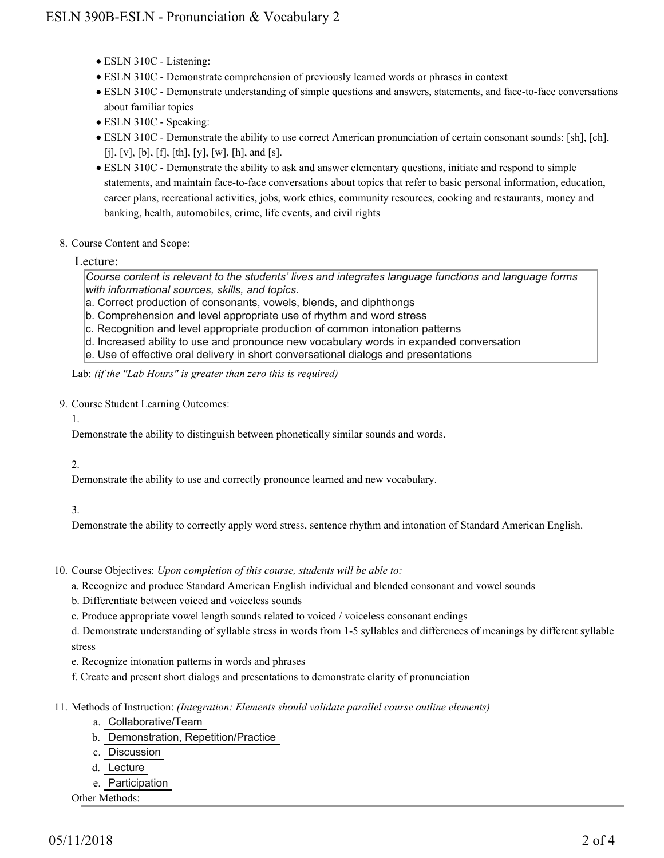- ESLN 310C Listening:
- ESLN 310C Demonstrate comprehension of previously learned words or phrases in context
- ESLN 310C Demonstrate understanding of simple questions and answers, statements, and face-to-face conversations about familiar topics
- ESLN 310C Speaking:
- ESLN 310C Demonstrate the ability to use correct American pronunciation of certain consonant sounds: [sh], [ch], [j], [v], [b], [f], [th], [y], [w], [h], and [s].
- ESLN 310C Demonstrate the ability to ask and answer elementary questions, initiate and respond to simple statements, and maintain face-to-face conversations about topics that refer to basic personal information, education, career plans, recreational activities, jobs, work ethics, community resources, cooking and restaurants, money and banking, health, automobiles, crime, life events, and civil rights
- 8. Course Content and Scope:

Lecture:

*Course content is relevant to the students' lives and integrates language functions and language forms with informational sources, skills, and topics.*

- a. Correct production of consonants, vowels, blends, and diphthongs
- b. Comprehension and level appropriate use of rhythm and word stress
- c. Recognition and level appropriate production of common intonation patterns
- d. Increased ability to use and pronounce new vocabulary words in expanded conversation
- e. Use of effective oral delivery in short conversational dialogs and presentations

Lab: *(if the "Lab Hours" is greater than zero this is required)*

- 9. Course Student Learning Outcomes:
	- 1.

Demonstrate the ability to distinguish between phonetically similar sounds and words.

2.

Demonstrate the ability to use and correctly pronounce learned and new vocabulary.

#### 3.

Demonstrate the ability to correctly apply word stress, sentence rhythm and intonation of Standard American English.

- 10. Course Objectives: Upon completion of this course, students will be able to:
	- a. Recognize and produce Standard American English individual and blended consonant and vowel sounds
	- b. Differentiate between voiced and voiceless sounds
	- c. Produce appropriate vowel length sounds related to voiced / voiceless consonant endings

d. Demonstrate understanding of syllable stress in words from 1-5 syllables and differences of meanings by different syllable stress

- e. Recognize intonation patterns in words and phrases
- f. Create and present short dialogs and presentations to demonstrate clarity of pronunciation
- Methods of Instruction: *(Integration: Elements should validate parallel course outline elements)* 11.
	- a. Collaborative/Team
	- b. Demonstration, Repetition/Practice
	- c. Discussion
	- d. Lecture
	- e. Participation
	- Other Methods: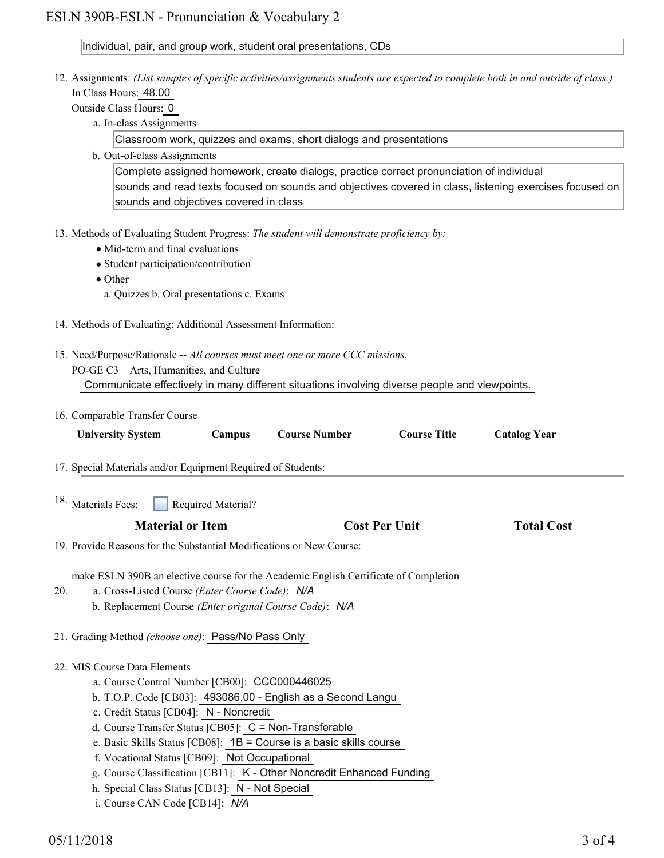# ESLN 390B-ESLN - Pronunciation & Vocabulary 2

# Individual, pair, and group work, student oral presentations, CDs

|     | 12. Assignments: (List samples of specific activities/assignments students are expected to complete both in and outside of class.) |                     |
|-----|------------------------------------------------------------------------------------------------------------------------------------|---------------------|
|     | In Class Hours: 48.00<br>Outside Class Hours: 0                                                                                    |                     |
|     | a. In-class Assignments                                                                                                            |                     |
|     | Classroom work, quizzes and exams, short dialogs and presentations                                                                 |                     |
|     | b. Out-of-class Assignments                                                                                                        |                     |
|     | Complete assigned homework, create dialogs, practice correct pronunciation of individual                                           |                     |
|     | sounds and read texts focused on sounds and objectives covered in class, listening exercises focused on                            |                     |
|     | sounds and objectives covered in class                                                                                             |                     |
|     |                                                                                                                                    |                     |
|     | 13. Methods of Evaluating Student Progress: The student will demonstrate proficiency by:                                           |                     |
|     | • Mid-term and final evaluations                                                                                                   |                     |
|     | • Student participation/contribution                                                                                               |                     |
|     | $\bullet$ Other                                                                                                                    |                     |
|     | a. Quizzes b. Oral presentations c. Exams                                                                                          |                     |
|     |                                                                                                                                    |                     |
|     | 14. Methods of Evaluating: Additional Assessment Information:                                                                      |                     |
|     | 15. Need/Purpose/Rationale -- All courses must meet one or more CCC missions.                                                      |                     |
|     | PO-GE C3 - Arts, Humanities, and Culture                                                                                           |                     |
|     | Communicate effectively in many different situations involving diverse people and viewpoints.                                      |                     |
|     |                                                                                                                                    |                     |
|     | 16. Comparable Transfer Course                                                                                                     |                     |
|     | <b>Course Title</b><br><b>Course Number</b><br><b>University System</b><br>Campus                                                  | <b>Catalog Year</b> |
|     |                                                                                                                                    |                     |
|     | 17. Special Materials and/or Equipment Required of Students:                                                                       |                     |
|     |                                                                                                                                    |                     |
|     | 18. Materials Fees:<br>Required Material?                                                                                          |                     |
|     | <b>Material or Item</b><br><b>Cost Per Unit</b>                                                                                    | <b>Total Cost</b>   |
|     | 19. Provide Reasons for the Substantial Modifications or New Course:                                                               |                     |
|     |                                                                                                                                    |                     |
|     | make ESLN 390B an elective course for the Academic English Certificate of Completion                                               |                     |
| 20. | a. Cross-Listed Course (Enter Course Code): N/A                                                                                    |                     |
|     | b. Replacement Course (Enter original Course Code): N/A                                                                            |                     |
|     |                                                                                                                                    |                     |
|     | 21. Grading Method (choose one): Pass/No Pass Only                                                                                 |                     |
|     |                                                                                                                                    |                     |
|     | 22. MIS Course Data Elements<br>a. Course Control Number [CB00]: CCC000446025                                                      |                     |
|     |                                                                                                                                    |                     |
|     | b. T.O.P. Code [CB03]: 493086.00 - English as a Second Langu                                                                       |                     |
|     | c. Credit Status [CB04]: N - Noncredit<br>d. Course Transfer Status [CB05]: $C = \text{Non-Transferable}$                          |                     |
|     | e. Basic Skills Status [CB08]: $1B =$ Course is a basic skills course                                                              |                     |
|     | f. Vocational Status [CB09]: Not Occupational                                                                                      |                     |
|     | g. Course Classification [CB11]: K - Other Noncredit Enhanced Funding                                                              |                     |
|     | h. Special Class Status [CB13]: N - Not Special                                                                                    |                     |
|     |                                                                                                                                    |                     |